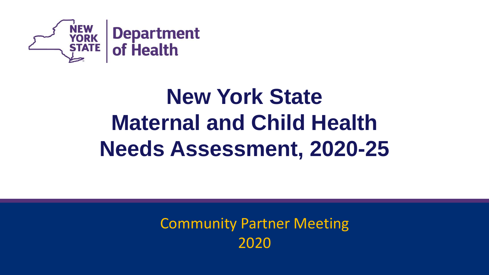

# **New York State Maternal and Child Health Needs Assessment, 2020-25**

Community Partner Meeting 2020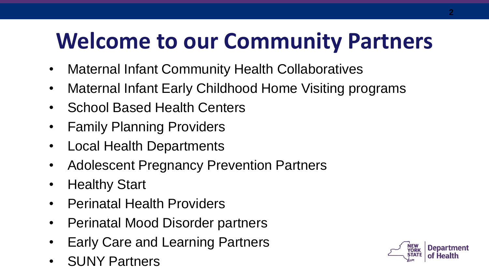# **Welcome to our Community Partners**

- Maternal Infant Community Health Collaboratives
- Maternal Infant Early Childhood Home Visiting programs
- School Based Health Centers
- Family Planning Providers
- Local Health Departments
- Adolescent Pregnancy Prevention Partners
- Healthy Start
- Perinatal Health Providers
- Perinatal Mood Disorder partners
- Early Care and Learning Partners
- SUNY Partners

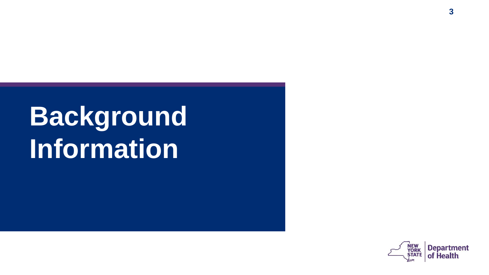# **Background Information**

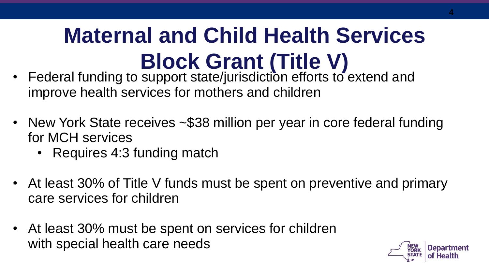# **Maternal and Child Health Services Block Grant (Title V)**

- Federal funding to support state/jurisdiction efforts to extend and improve health services for mothers and children
- New York State receives ~\$38 million per year in core federal funding for MCH services
	- Requires 4:3 funding match
- At least 30% of Title V funds must be spent on preventive and primary care services for children
- At least 30% must be spent on services for children with special health care needs

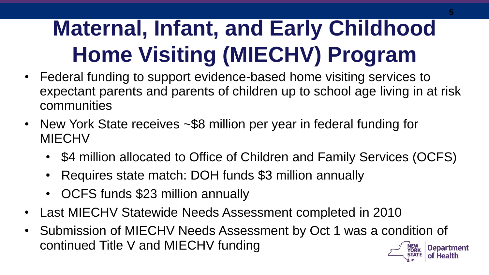# **Maternal, Infant, and Early Childhood Home Visiting (MIECHV) Program**

- Federal funding to support evidence-based home visiting services to expectant parents and parents of children up to school age living in at risk communities
- New York State receives ~\$8 million per year in federal funding for MIECHV
	- \$4 million allocated to Office of Children and Family Services (OCFS)
	- Requires state match: DOH funds \$3 million annually
	- OCFS funds \$23 million annually
- Last MIECHV Statewide Needs Assessment completed in 2010
- Submission of MIECHV Needs Assessment by Oct 1 was a condition of continued Title V and MIECHV funding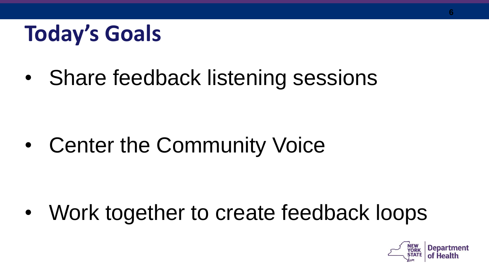# **Today's Goals**

• Share feedback listening sessions

• Center the Community Voice

• Work together to create feedback loops

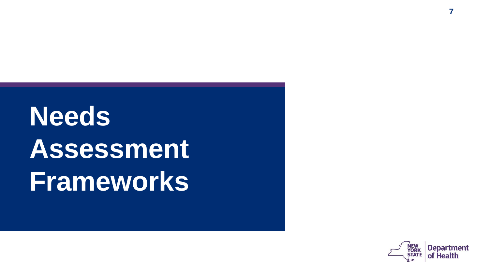# **Needs Assessment Frameworks**



**7**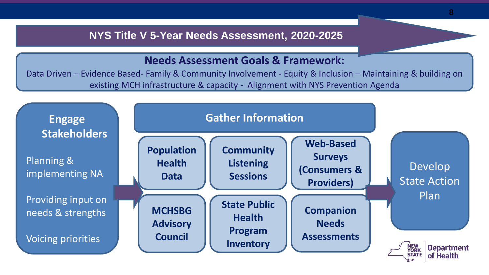#### **NYS Title V 5-Year Needs Assessment, 2020-2025**

#### **Needs Assessment Goals & Framework:**

Data Driven – Evidence Based- Family & Community Involvement - Equity & Inclusion – Maintaining & building on existing MCH infrastructure & capacity - Alignment with NYS Prevention Agenda

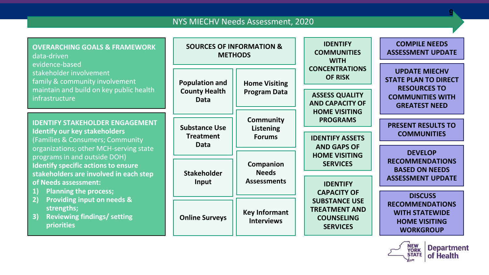#### NYS MIECHV Needs Assessment, 2020

| <b>OVERARCHING GOALS &amp; FRAMEWORK</b><br>data-driven<br>evidence-based                                                                                                                                                                                                                                                                                                                                                                                                 | <b>SOURCES OF INFORMATION &amp;</b><br><b>METHODS</b>        |                                                 | <b>IDENTIFY</b><br><b>COMMUNITIES</b><br><b>WITH</b>                                                                                                                                                                                                                | <b>COMPILE NEEDS</b><br><b>ASSESSMENT UPDATE</b>                                                                              |
|---------------------------------------------------------------------------------------------------------------------------------------------------------------------------------------------------------------------------------------------------------------------------------------------------------------------------------------------------------------------------------------------------------------------------------------------------------------------------|--------------------------------------------------------------|-------------------------------------------------|---------------------------------------------------------------------------------------------------------------------------------------------------------------------------------------------------------------------------------------------------------------------|-------------------------------------------------------------------------------------------------------------------------------|
| stakeholder involvement<br>family & community involvement<br>maintain and build on key public health<br>infrastructure                                                                                                                                                                                                                                                                                                                                                    | <b>Population and</b><br><b>County Health</b><br><b>Data</b> | <b>Home Visiting</b><br><b>Program Data</b>     | <b>CONCENTRATIONS</b><br><b>OF RISK</b><br><b>ASSESS QUALITY</b><br><b>AND CAPACITY OF</b>                                                                                                                                                                          | <b>UPDATE MIECHV</b><br><b>STATE PLAN TO DIRECT</b><br><b>RESOURCES TO</b><br><b>COMMUNITIES WITH</b><br><b>GREATEST NEED</b> |
| <b>IDENTIFY STAKEHOLDER ENGAGEMENT</b><br><b>Identify our key stakeholders</b><br>(Families & Consumers; Community<br>organizations; other MCH-serving state<br>programs in and outside DOH)<br><b>Identify specific actions to ensure</b><br>stakeholders are involved in each step<br>of Needs assessment:<br><b>Planning the process;</b><br>1)<br><b>Providing input on needs &amp;</b><br>2)<br>strengths;<br>3)<br><b>Reviewing findings/ setting</b><br>priorities | <b>Substance Use</b><br><b>Treatment</b><br>Data             | <b>Community</b><br>Listening<br><b>Forums</b>  | <b>HOME VISITING</b><br><b>PROGRAMS</b><br><b>IDENTIFY ASSETS</b><br><b>AND GAPS OF</b><br><b>HOME VISITING</b><br><b>SERVICES</b><br><b>IDENTIFY</b><br><b>CAPACITY OF</b><br><b>SUBSTANCE USE</b><br><b>TREATMENT AND</b><br><b>COUNSELING</b><br><b>SERVICES</b> | <b>PRESENT RESULTS TO</b><br><b>COMMUNITIES</b><br><b>DEVELOP</b>                                                             |
|                                                                                                                                                                                                                                                                                                                                                                                                                                                                           | <b>Stakeholder</b><br>Input                                  | Companion<br><b>Needs</b><br><b>Assessments</b> |                                                                                                                                                                                                                                                                     | <b>RECOMMENDATIONS</b><br><b>BASED ON NEEDS</b><br><b>ASSESSMENT UPDATE</b>                                                   |
|                                                                                                                                                                                                                                                                                                                                                                                                                                                                           | <b>Online Surveys</b>                                        | <b>Key Informant</b><br><b>Interviews</b>       |                                                                                                                                                                                                                                                                     | <b>DISCUSS</b><br><b>RECOMMENDATIONS</b><br><b>WITH STATEWIDE</b><br><b>HOME VISITING</b><br><b>WORKGROUP</b>                 |



**9**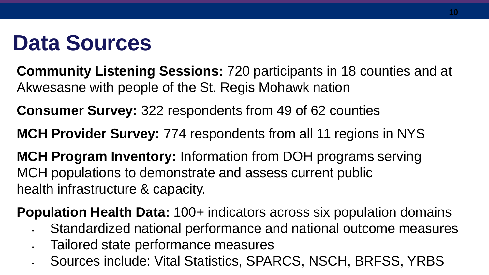# **Data Sources**

**Community Listening Sessions:** 720 participants in 18 counties and at Akwesasne with people of the St. Regis Mohawk nation

**Consumer Survey:** 322 respondents from 49 of 62 counties

**MCH Provider Survey:** 774 respondents from all 11 regions in NYS

**MCH Program Inventory:** Information from DOH programs serving MCH populations to demonstrate and assess current public health infrastructure & capacity.

**Population Health Data:** 100+ indicators across six population domains

- Standardized national performance and national outcome measures
- Tailored state performance measures
- Sources include: Vital Statistics, SPARCS, NSCH, BRFSS, YRBS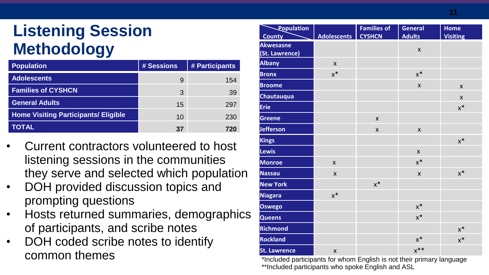#### **Listening Session Methodology**

| <b>Population</b>                           | # Sessions | # Participants |
|---------------------------------------------|------------|----------------|
| <b>Adolescents</b>                          | 9          | 154            |
| <b>Families of CYSHCN</b>                   | 3          | 39             |
| <b>General Adults</b>                       | 15         | 297            |
| <b>Home Visiting Participants/ Eligible</b> | 10         | 230            |
| TOTAL                                       | 37         | 720            |

- Current contractors volunteered to host listening sessions in the communities they serve and selected which population
- DOH provided discussion topics and prompting questions
- Hosts returned summaries, demographics of participants, and scribe notes
- DOH coded scribe notes to identify common themes

| <b>Population</b>   |                | <b>Families of</b> | <b>General</b>     | <b>Home</b>     |
|---------------------|----------------|--------------------|--------------------|-----------------|
| <b>County</b>       | Adolescents    | <b>CYSHCN</b>      | <b>Adults</b>      | <b>Visiting</b> |
| <b>Akwesasne</b>    |                |                    | X                  |                 |
| (St. Lawrence)      |                |                    |                    |                 |
| <b>Albany</b>       | $\pmb{\times}$ |                    |                    |                 |
| <b>Bronx</b>        | $x^*$          |                    | $\mathsf{X}^*$     |                 |
| <b>Broome</b>       |                |                    | $\pmb{\mathsf{X}}$ | $\mathsf{x}$    |
| <b>Chautauqua</b>   |                |                    |                    | $\mathsf{x}$    |
| <b>Erie</b>         |                |                    |                    | $x^*$           |
| <b>Greene</b>       |                | $\pmb{\times}$     |                    |                 |
| <b>Jefferson</b>    |                | $\pmb{\times}$     | $\mathsf{x}$       |                 |
| <b>Kings</b>        |                |                    |                    | $x^*$           |
| <b>Lewis</b>        |                |                    | $\mathsf{x}$       |                 |
| <b>Monroe</b>       | $\mathsf{x}$   |                    | $x^*$              |                 |
| <b>Nassau</b>       | $\mathsf{x}$   |                    | $\mathsf{x}$       | $x^*$           |
| <b>New York</b>     |                | $x^*$              |                    |                 |
| <b>Niagara</b>      | $x^*$          |                    |                    |                 |
| <b>Oswego</b>       |                |                    | $\mathsf{x}^*$     |                 |
| <b>Queens</b>       |                |                    | $x^*$              |                 |
| Richmond            |                |                    |                    | $\mathsf{x}^*$  |
| <b>Rockland</b>     |                |                    | $x^*$              | $x^*$           |
| <b>St. Lawrence</b> | X              |                    | $x^{**}$           |                 |

\*Included participants for whom English is not their primary language \*\*Included participants who spoke English and ASL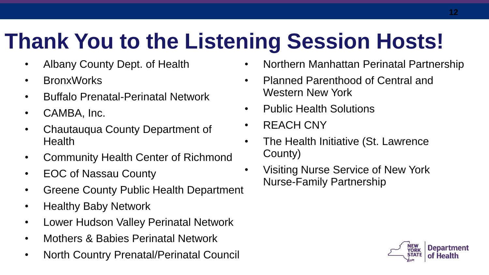# **Thank You to the Listening Session Hosts!**

- Albany County Dept. of Health
- BronxWorks
- Buffalo Prenatal-Perinatal Network
- CAMBA, Inc.
- Chautauqua County Department of **Health**
- Community Health Center of Richmond
- EOC of Nassau County
- Greene County Public Health Department
- Healthy Baby Network
- Lower Hudson Valley Perinatal Network
- Mothers & Babies Perinatal Network
- North Country Prenatal/Perinatal Council
- Northern Manhattan Perinatal Partnership
- Planned Parenthood of Central and Western New York
- Public Health Solutions
- REACH CNY
- The Health Initiative (St. Lawrence County)
- Visiting Nurse Service of New York Nurse-Family Partnership

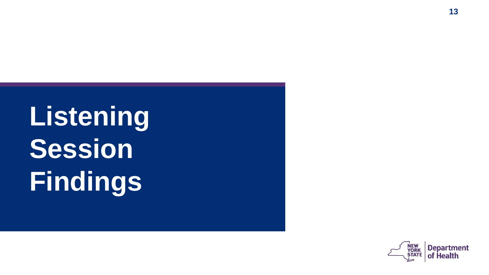**Listening Session Findings**

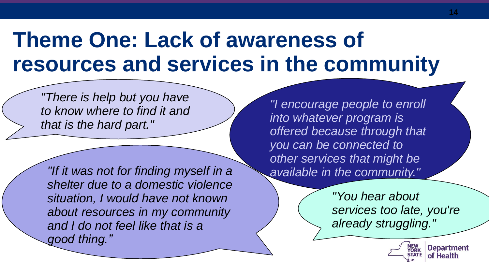# **Theme One: Lack of awareness of resources and services in the community**

*"There is help but you have to know where to find it and that is the hard part."* 

*"If it was not for finding myself in a shelter due to a domestic violence situation, I would have not known about resources in my community and I do not feel like that is a good thing."* 

*"I encourage people to enroll into whatever program is offered because through that you can be connected to other services that might be available in the community."*

> *"You hear about services too late, you're already struggling."*



**Department**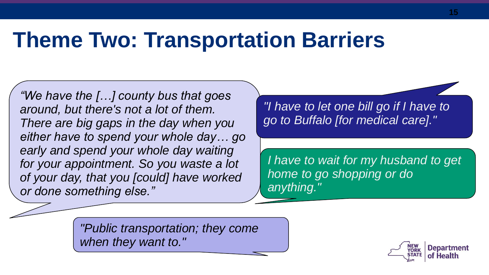### **Theme Two: Transportation Barriers**

*"We have the […] county bus that goes around, but there's not a lot of them. There are big gaps in the day when you either have to spend your whole day… go early and spend your whole day waiting for your appointment. So you waste a lot of your day, that you [could] have worked or done something else."*

*"I have to let one bill go if I have to go to Buffalo [for medical care]."*

*I have to wait for my husband to get home to go shopping or do anything."*

*"Public transportation; they come when they want to."*

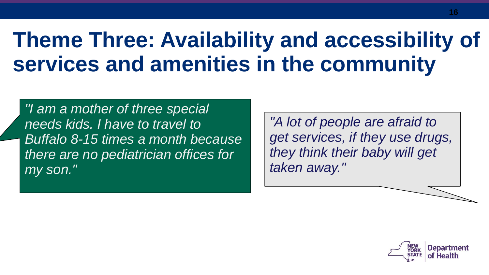# **Theme Three: Availability and accessibility of services and amenities in the community**

*"I am a mother of three special needs kids. I have to travel to Buffalo 8-15 times a month because there are no pediatrician offices for my son."*

*"A lot of people are afraid to get services, if they use drugs, they think their baby will get taken away."*

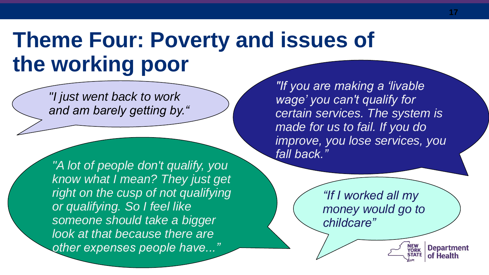## **Theme Four: Poverty and issues of the working poor**

*"I just went back to work and am barely getting by."*

*"A lot of people don't qualify, you know what I mean? They just get right on the cusp of not qualifying or qualifying. So I feel like someone should take a bigger look at that because there are other expenses people have..."*

*"If you are making a 'livable wage' you can't qualify for certain services. The system is made for us to fail. If you do improve, you lose services, you fall back."*

> *"If I worked all my money would go to childcare"*

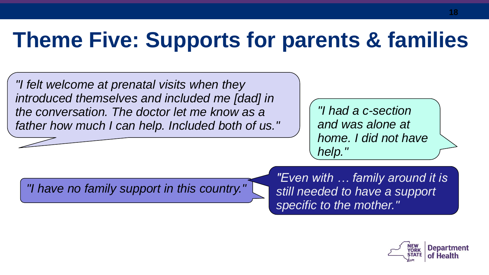# **Theme Five: Supports for parents & families**

*"I felt welcome at prenatal visits when they introduced themselves and included me [dad] in the conversation. The doctor let me know as a father how much I can help. Included both of us."*

*"I had a c-section and was alone at home. I did not have help."*

*"I have no family support in this country."*

*"Even with … family around it is still needed to have a support specific to the mother."*

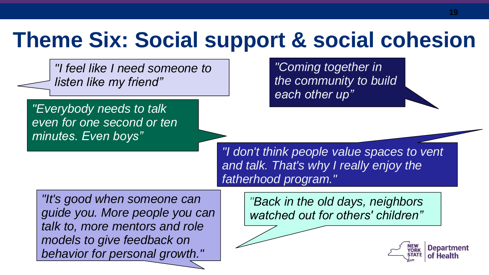## **Theme Six: Social support & social cohesion**

*"I feel like I need someone to listen like my friend"* 

*"Everybody needs to talk even for one second or ten minutes. Even boys"*

*"Coming together in the community to build each other up"*

*"I don't think people value spaces to vent and talk. That's why I really enjoy the fatherhood program."*

*"It's good when someone can guide you. More people you can talk to, more mentors and role models to give feedback on behavior for personal growth."*

*"Back in the old days, neighbors watched out for others' children"* 

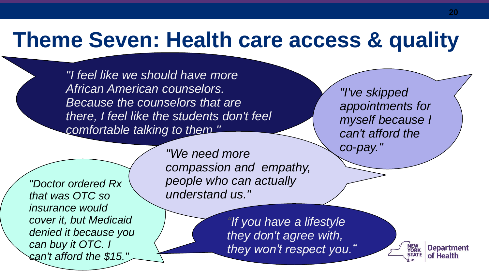### **Theme Seven: Health care access & quality**

*"I feel like we should have more African American counselors. Because the counselors that are there, I feel like the students don't feel comfortable talking to them."*

*"Doctor ordered Rx that was OTC so insurance would cover it, but Medicaid denied it because you can buy it OTC. I can't afford the \$15."*

*co-pay." "We need more compassion and empathy, people who can actually understand us."*

> *"If you have a lifestyle they don't agree with, they won't respect you."*

*"I've skipped appointments for myself because I can't afford the* 

> **Department** NEW<br>YORK of Health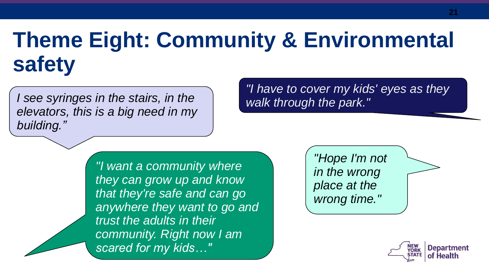# **Theme Eight: Community & Environmental safety**

*I see syringes in the stairs, in the elevators, this is a big need in my building."*

*"I have to cover my kids' eyes as they walk through the park."*

*"I want a community where they can grow up and know that they're safe and can go anywhere they want to go and trust the adults in their community. Right now I am scared for my kids…"*

*"Hope I'm not in the wrong place at the wrong time."*

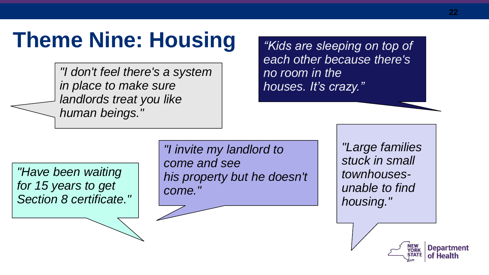## **Theme Nine: Housing**

*"I don't feel there's a system in place to make sure landlords treat you like human beings."*

*"Kids are sleeping on top of each other because there's no room in the houses. It's crazy."*

*"Have been waiting for 15 years to get Section 8 certificate."*

*"I invite my landlord to come and see his property but he doesn't come."*

*"Large families stuck in small townhousesunable to find housing."*

**Department**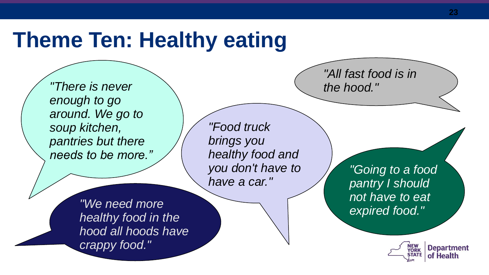### **Theme Ten: Healthy eating**

*"There is never enough to go around. We go to soup kitchen, pantries but there needs to be more."*

*"Food truck brings you healthy food and you don't have to have a car."*

*"We need more healthy food in the hood all hoods have crappy food."*

*"All fast food is in the hood."*

> *"Going to a food pantry I should not have to eat expired food."*

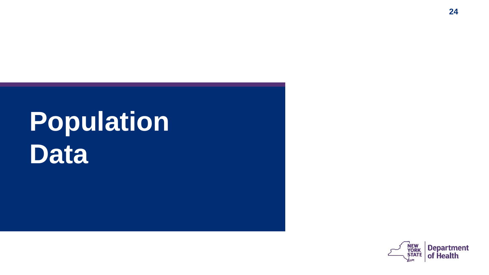# **Population Data**

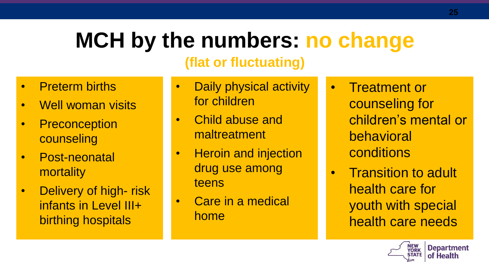# **MCH by the numbers: no change**

#### **(flat or fluctuating)**

- Preterm births
- Well woman visits
- Preconception counseling
- Post-neonatal mortality
- Delivery of high- risk infants in Level III+ birthing hospitals
- **Daily physical activity** for children
- Child abuse and maltreatment
- Heroin and injection drug use among teens
- Care in a medical home
- Treatment or counseling for children's mental or behavioral conditions
- Transition to adult health care for youth with special health care needs

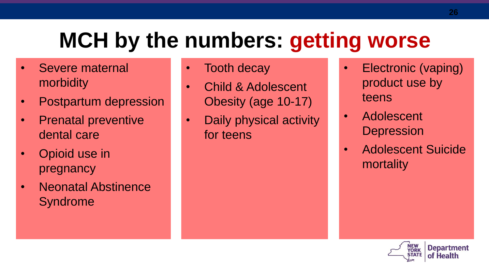# **MCH by the numbers: getting worse**

- Severe maternal morbidity
- Postpartum depression
- Prenatal preventive dental care
- Opioid use in pregnancy
- Neonatal Abstinence Syndrome
- Tooth decay
- Child & Adolescent Obesity (age 10-17)
- Daily physical activity for teens
- Electronic (vaping) product use by teens
- Adolescent **Depression**
- Adolescent Suicide mortality

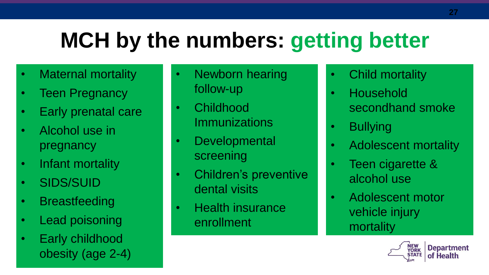# **MCH by the numbers: getting better**

- Maternal mortality
- Teen Pregnancy
- Early prenatal care
- Alcohol use in pregnancy
- Infant mortality
- SIDS/SUID
- Breastfeeding
- Lead poisoning
- Early childhood obesity (age 2-4)
- Newborn hearing follow-up
- Childhood **Immunizations**
- Developmental screening
- Children's preventive dental visits
- Health insurance enrollment
- Child mortality
- Household secondhand smoke
- Bullying
- Adolescent mortality
- Teen cigarette & alcohol use
- Adolescent motor vehicle injury mortality

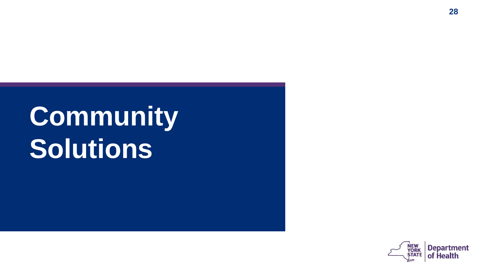# **Community Solutions**

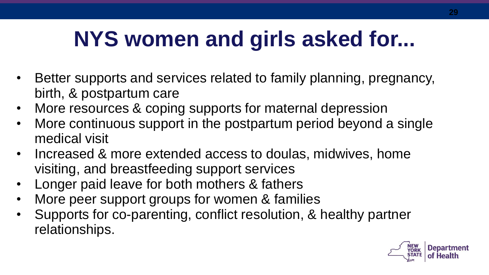# **NYS women and girls asked for...**

- Better supports and services related to family planning, pregnancy, birth, & postpartum care
- More resources & coping supports for maternal depression
- More continuous support in the postpartum period beyond a single medical visit
- Increased & more extended access to doulas, midwives, home visiting, and breastfeeding support services
- Longer paid leave for both mothers & fathers
- More peer support groups for women & families
- Supports for co-parenting, conflict resolution, & healthy partner relationships.

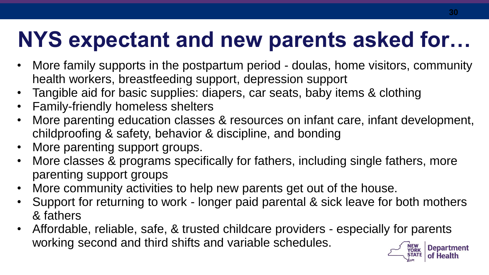# **NYS expectant and new parents asked for…**

- More family supports in the postpartum period doulas, home visitors, community health workers, breastfeeding support, depression support
- Tangible aid for basic supplies: diapers, car seats, baby items & clothing
- Family-friendly homeless shelters
- More parenting education classes & resources on infant care, infant development, childproofing & safety, behavior & discipline, and bonding
- More parenting support groups.
- More classes & programs specifically for fathers, including single fathers, more parenting support groups
- More community activities to help new parents get out of the house.
- Support for returning to work longer paid parental & sick leave for both mothers & fathers
- Affordable, reliable, safe, & trusted childcare providers especially for parents working second and third shifts and variable schedules.**Department**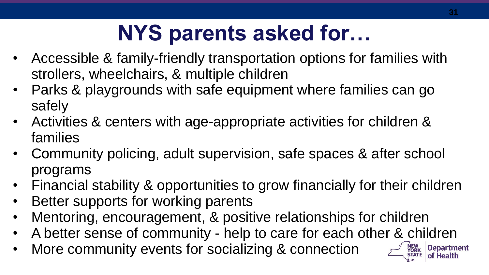# **NYS parents asked for…**

- Accessible & family-friendly transportation options for families with strollers, wheelchairs, & multiple children
- Parks & playgrounds with safe equipment where families can go safely
- Activities & centers with age-appropriate activities for children & families
- Community policing, adult supervision, safe spaces & after school programs
- Financial stability & opportunities to grow financially for their children
- Better supports for working parents
- Mentoring, encouragement, & positive relationships for children
- A better sense of community help to care for each other & children
- More community events for socializing & connection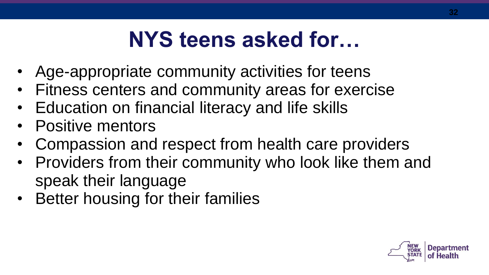# **NYS teens asked for…**

- Age-appropriate community activities for teens
- Fitness centers and community areas for exercise
- Education on financial literacy and life skills
- Positive mentors
- Compassion and respect from health care providers
- Providers from their community who look like them and speak their language
- Better housing for their families

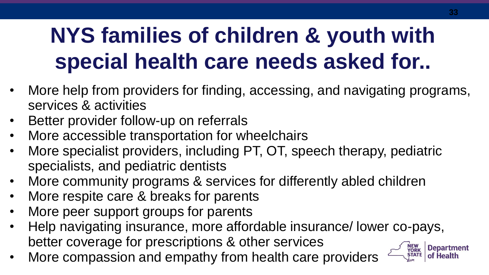# **NYS families of children & youth with special health care needs asked for..**

- More help from providers for finding, accessing, and navigating programs, services & activities
- Better provider follow-up on referrals
- More accessible transportation for wheelchairs
- More specialist providers, including PT, OT, speech therapy, pediatric specialists, and pediatric dentists
- More community programs & services for differently abled children
- More respite care & breaks for parents
- More peer support groups for parents
- Help navigating insurance, more affordable insurance/ lower co-pays, better coverage for prescriptions & other services
- More compassion and empathy from health care providers

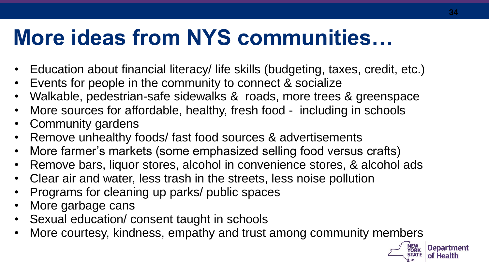# **More ideas from NYS communities…**

- Education about financial literacy/ life skills (budgeting, taxes, credit, etc.)
- Events for people in the community to connect & socialize
- Walkable, pedestrian-safe sidewalks & roads, more trees & greenspace
- More sources for affordable, healthy, fresh food including in schools
- Community gardens
- Remove unhealthy foods/ fast food sources & advertisements
- More farmer's markets (some emphasized selling food versus crafts)
- Remove bars, liquor stores, alcohol in convenience stores, & alcohol ads
- Clear air and water, less trash in the streets, less noise pollution
- Programs for cleaning up parks/ public spaces
- More garbage cans
- Sexual education/ consent taught in schools
- More courtesy, kindness, empathy and trust among community members



**34**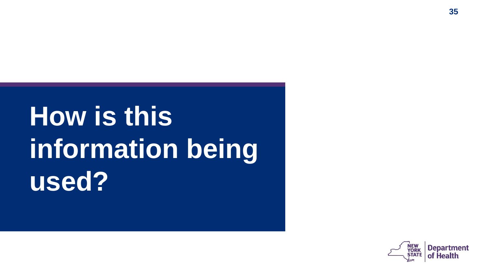# **How is this information being used?**

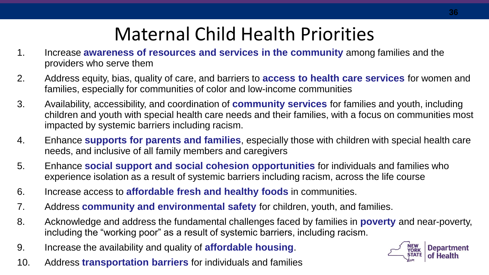### Maternal Child Health Priorities

- 1. Increase **awareness of resources and services in the community** among families and the providers who serve them
- 2. Address equity, bias, quality of care, and barriers to **access to health care services** for women and families, especially for communities of color and low-income communities
- 3. Availability, accessibility, and coordination of **community services** for families and youth, including children and youth with special health care needs and their families, with a focus on communities most impacted by systemic barriers including racism.
- 4. Enhance **supports for parents and families**, especially those with children with special health care needs, and inclusive of all family members and caregivers
- 5. Enhance **social support and social cohesion opportunities** for individuals and families who experience isolation as a result of systemic barriers including racism, across the life course
- 6. Increase access to **affordable fresh and healthy foods** in communities.
- 7. Address **community and environmental safety** for children, youth, and families.
- 8. Acknowledge and address the fundamental challenges faced by families in **poverty** and near-poverty, including the "working poor" as a result of systemic barriers, including racism.
- 9. Increase the availability and quality of **affordable housing**.
- 10. Address **transportation barriers** for individuals and families

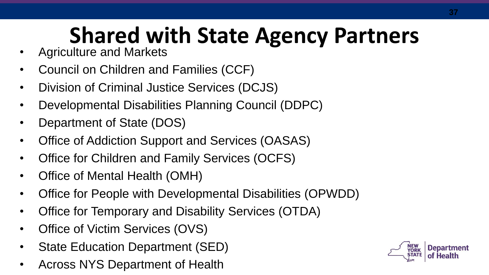# **Shared with State Agency Partners**

- Agriculture and Markets
- Council on Children and Families (CCF)
- Division of Criminal Justice Services (DCJS)
- Developmental Disabilities Planning Council (DDPC)
- Department of State (DOS)
- Office of Addiction Support and Services (OASAS)
- Office for Children and Family Services (OCFS)
- Office of Mental Health (OMH)
- Office for People with Developmental Disabilities (OPWDD)
- Office for Temporary and Disability Services (OTDA)
- Office of Victim Services (OVS)
- State Education Department (SED)
- Across NYS Department of Health

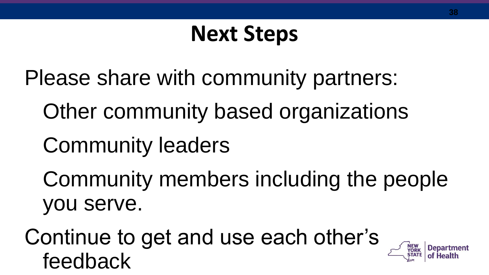# **Next Steps**

Please share with community partners:

Other community based organizations

Community leaders

Community members including the people you serve.

Continue to get and use each other's feedback

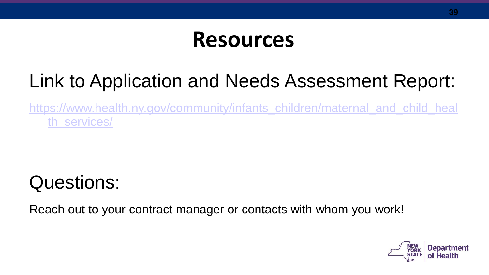### **Resources**

### Link to Application and Needs Assessment Report:

[https://www.health.ny.gov/community/infants\\_children/maternal\\_and\\_child\\_heal](https://www.health.ny.gov/community/infants_children/maternal_and_child_health_services/) th\_services/

### Questions:

Reach out to your contract manager or contacts with whom you work!